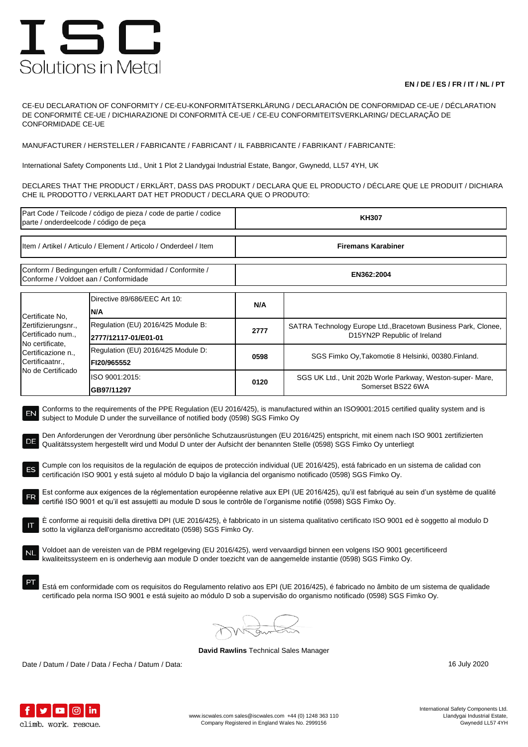## ISC Solutions in Metal

## **EN / DE / ES / FR / IT / NL / PT**

CE-EU DECLARATION OF CONFORMITY / CE-EU-KONFORMITÄTSERKLÄRUNG / DECLARACIÓN DE CONFORMIDAD CE-UE / DÉCLARATION DE CONFORMITÉ CE-UE / DICHIARAZIONE DI CONFORMITÀ CE-UE / CE-EU CONFORMITEITSVERKLARING/ DECLARAÇÃO DE CONFORMIDADE CE-UE

MANUFACTURER / HERSTELLER / FABRICANTE / FABRICANT / IL FABBRICANTE / FABRIKANT / FABRICANTE:

International Safety Components Ltd., Unit 1 Plot 2 Llandygai Industrial Estate, Bangor, Gwynedd, LL57 4YH, UK

DECLARES THAT THE PRODUCT / ERKLÄRT, DASS DAS PRODUKT / DECLARA QUE EL PRODUCTO / DÉCLARE QUE LE PRODUIT / DICHIARA CHE IL PRODOTTO / VERKLAART DAT HET PRODUCT / DECLARA QUE O PRODUTO:

| Part Code / Teilcode / código de pieza / code de partie / codice<br>parte / onderdeelcode / código de peça                                                                                                                                                                                                                                                                                                                                                                                                                                                                                                                                                                                                                                                                                                                                                                                                                                                                                                                                                                                                                                                                                                                                                                                                                                                                                                                                                                                                                                                                                                                                                                                                                                                                                             |                                                            | <b>KH307</b>              |                                                                                               |  |  |
|--------------------------------------------------------------------------------------------------------------------------------------------------------------------------------------------------------------------------------------------------------------------------------------------------------------------------------------------------------------------------------------------------------------------------------------------------------------------------------------------------------------------------------------------------------------------------------------------------------------------------------------------------------------------------------------------------------------------------------------------------------------------------------------------------------------------------------------------------------------------------------------------------------------------------------------------------------------------------------------------------------------------------------------------------------------------------------------------------------------------------------------------------------------------------------------------------------------------------------------------------------------------------------------------------------------------------------------------------------------------------------------------------------------------------------------------------------------------------------------------------------------------------------------------------------------------------------------------------------------------------------------------------------------------------------------------------------------------------------------------------------------------------------------------------------|------------------------------------------------------------|---------------------------|-----------------------------------------------------------------------------------------------|--|--|
| Item / Artikel / Articulo / Element / Articolo / Onderdeel / Item                                                                                                                                                                                                                                                                                                                                                                                                                                                                                                                                                                                                                                                                                                                                                                                                                                                                                                                                                                                                                                                                                                                                                                                                                                                                                                                                                                                                                                                                                                                                                                                                                                                                                                                                      |                                                            | <b>Firemans Karabiner</b> |                                                                                               |  |  |
| Conform / Bedingungen erfullt / Conformidad / Conformite /<br>Conforme / Voldoet aan / Conformidade                                                                                                                                                                                                                                                                                                                                                                                                                                                                                                                                                                                                                                                                                                                                                                                                                                                                                                                                                                                                                                                                                                                                                                                                                                                                                                                                                                                                                                                                                                                                                                                                                                                                                                    |                                                            | EN362:2004                |                                                                                               |  |  |
| Certificate No,<br>Zertifizierungsnr.,<br>Certificado num.,<br>No certificate,<br>Certificazione n.,<br>Certificaatnr.,<br>No de Certificado                                                                                                                                                                                                                                                                                                                                                                                                                                                                                                                                                                                                                                                                                                                                                                                                                                                                                                                                                                                                                                                                                                                                                                                                                                                                                                                                                                                                                                                                                                                                                                                                                                                           | Directive 89/686/EEC Art 10:<br>N/A                        | N/A                       |                                                                                               |  |  |
|                                                                                                                                                                                                                                                                                                                                                                                                                                                                                                                                                                                                                                                                                                                                                                                                                                                                                                                                                                                                                                                                                                                                                                                                                                                                                                                                                                                                                                                                                                                                                                                                                                                                                                                                                                                                        | Regulation (EU) 2016/425 Module B:<br>2777/12117-01/E01-01 | 2777                      | SATRA Technology Europe Ltd., Bracetown Business Park, Clonee,<br>D15YN2P Republic of Ireland |  |  |
|                                                                                                                                                                                                                                                                                                                                                                                                                                                                                                                                                                                                                                                                                                                                                                                                                                                                                                                                                                                                                                                                                                                                                                                                                                                                                                                                                                                                                                                                                                                                                                                                                                                                                                                                                                                                        | Regulation (EU) 2016/425 Module D:<br>FI20/965552          | 0598                      | SGS Fimko Oy, Takomotie 8 Helsinki, 00380. Finland.                                           |  |  |
|                                                                                                                                                                                                                                                                                                                                                                                                                                                                                                                                                                                                                                                                                                                                                                                                                                                                                                                                                                                                                                                                                                                                                                                                                                                                                                                                                                                                                                                                                                                                                                                                                                                                                                                                                                                                        | ISO 9001:2015:<br>GB97/11297                               | 0120                      | SGS UK Ltd., Unit 202b Worle Parkway, Weston-super-Mare,<br>Somerset BS22 6WA                 |  |  |
| Conforms to the requirements of the PPE Regulation (EU 2016/425), is manufactured within an ISO9001:2015 certified quality system and is<br>EN<br>subject to Module D under the surveillance of notified body (0598) SGS Fimko Oy<br>Den Anforderungen der Verordnung über persönliche Schutzausrüstungen (EU 2016/425) entspricht, mit einem nach ISO 9001 zertifizierten<br>DE<br>Qualitätssystem hergestellt wird und Modul D unter der Aufsicht der benannten Stelle (0598) SGS Fimko Oy unterliegt<br>Cumple con los requisitos de la regulación de equipos de protección individual (UE 2016/425), está fabricado en un sistema de calidad con<br>ES<br>certificación ISO 9001 y está sujeto al módulo D bajo la vigilancia del organismo notificado (0598) SGS Fimko Oy.<br>Est conforme aux exigences de la réglementation européenne relative aux EPI (UE 2016/425), qu'il est fabriqué au sein d'un système de qualité<br>certifié ISO 9001 et qu'il est assujetti au module D sous le contrôle de l'organisme notifié (0598) SGS Fimko Oy.<br>È conforme ai requisiti della direttiva DPI (UE 2016/425), è fabbricato in un sistema qualitativo certificato ISO 9001 ed è soggetto al modulo D<br>sotto la vigilanza dell'organismo accreditato (0598) SGS Fimko Oy.<br>Voldoet aan de vereisten van de PBM regelgeving (EU 2016/425), werd vervaardigd binnen een volgens ISO 9001 gecertificeerd<br>kwaliteitssysteem en is onderhevig aan module D onder toezicht van de aangemelde instantie (0598) SGS Fimko Oy.<br>Está em conformidade com os requisitos do Regulamento relativo aos EPI (UE 2016/425), é fabricado no âmbito de um sistema de qualidade<br>certificado pela norma ISO 9001 e está sujeito ao módulo D sob a supervisão do organismo notificado (0598) SGS Fimko Oy. |                                                            |                           |                                                                                               |  |  |
|                                                                                                                                                                                                                                                                                                                                                                                                                                                                                                                                                                                                                                                                                                                                                                                                                                                                                                                                                                                                                                                                                                                                                                                                                                                                                                                                                                                                                                                                                                                                                                                                                                                                                                                                                                                                        |                                                            |                           |                                                                                               |  |  |

**David Rawlins** Technical Sales Manager

Date / Datum / Date / Data / Fecha / Datum / Data: 16 July 2020